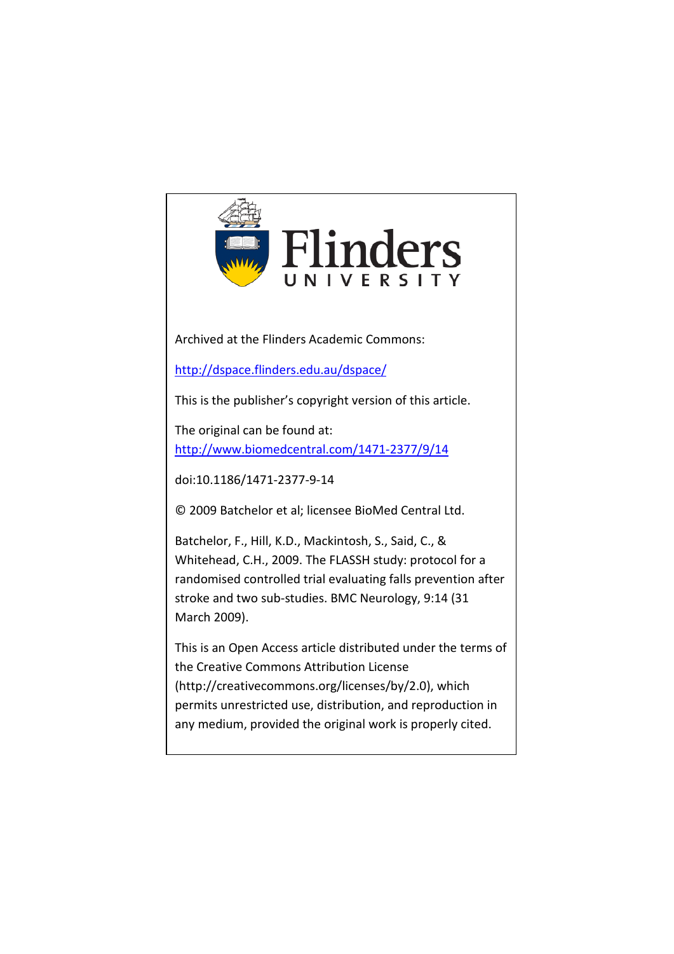

Archived at the Flinders Academic Commons:

<http://dspace.flinders.edu.au/dspace/>

This is the publisher's copyright version of this article.

The original can be found at: <http://www.biomedcentral.com/1471-2377/9/14>

doi:10.1186/1471-2377-9-14

© 2009 Batchelor et al; licensee BioMed Central Ltd.

Batchelor, F., Hill, K.D., Mackintosh, S., Said, C., & Whitehead, C.H., 2009. The FLASSH study: protocol for a randomised controlled trial evaluating falls prevention after stroke and two sub-studies. BMC Neurology, 9:14 (31 March 2009).

This is an Open Access article distributed under the terms of the Creative Commons Attribution License (http://creativecommons.org/licenses/by/2.0), which permits unrestricted use, distribution, and reproduction in any medium, provided the original work is properly cited.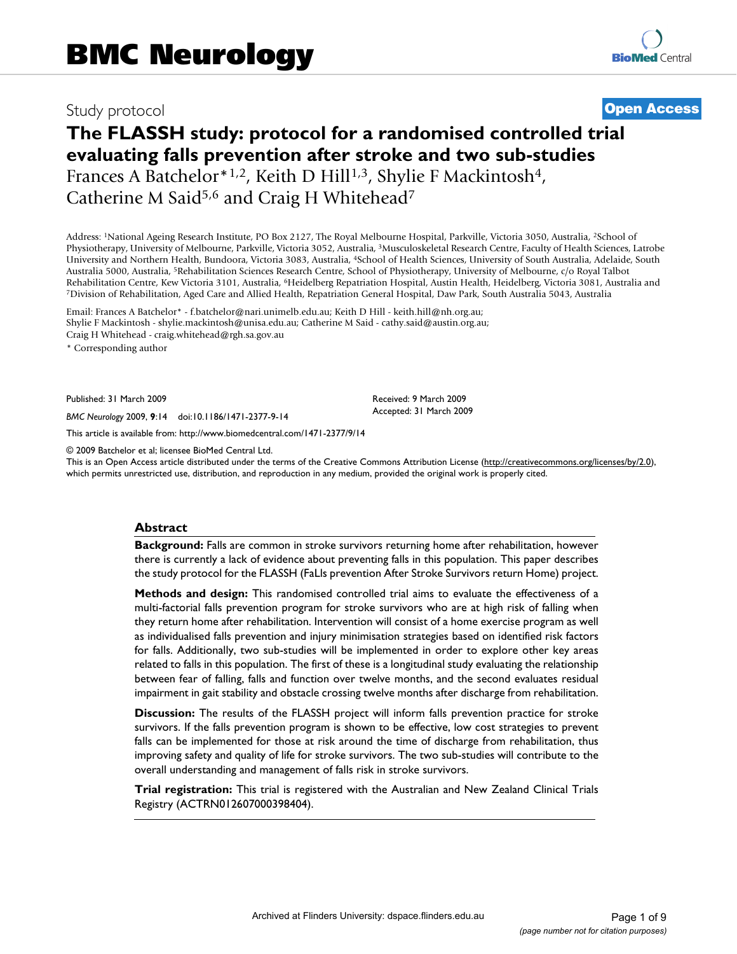## Study protocol **[Open Access](http://www.biomedcentral.com/info/about/charter/)**

# **The FLASSH study: protocol for a randomised controlled trial evaluating falls prevention after stroke and two sub-studies** Frances A Batchelor<sup>\*1,2</sup>, Keith D Hill<sup>1,3</sup>, Shylie F Mackintosh<sup>4</sup>, Catherine M Said<sup>5,6</sup> and Craig H Whitehead<sup>7</sup>

Address: 1National Ageing Research Institute, PO Box 2127, The Royal Melbourne Hospital, Parkville, Victoria 3050, Australia, 2School of Physiotherapy, University of Melbourne, Parkville, Victoria 3052, Australia, 3Musculoskeletal Research Centre, Faculty of Health Sciences, Latrobe University and Northern Health, Bundoora, Victoria 3083, Australia, 4School of Health Sciences, University of South Australia, Adelaide, South Australia 5000, Australia, 5Rehabilitation Sciences Research Centre, School of Physiotherapy, University of Melbourne, c/o Royal Talbot Rehabilitation Centre, Kew Victoria 3101, Australia, <sup>6</sup>Heidelberg Repatriation Hospital, Austin Health, Heidelberg, Victoria 3081, Australia and <sup>7</sup>Division of Rehabilitation, Aged Care and Allied Health, Repatriation Gen

Email: Frances A Batchelor\* - f.batchelor@nari.unimelb.edu.au; Keith D Hill - keith.hill@nh.org.au; Shylie F Mackintosh - shylie.mackintosh@unisa.edu.au; Catherine M Said - cathy.said@austin.org.au; Craig H Whitehead - craig.whitehead@rgh.sa.gov.au

\* Corresponding author

Published: 31 March 2009

*BMC Neurology* 2009, **9**:14 doi:10.1186/1471-2377-9-14

[This article is available from: http://www.biomedcentral.com/1471-2377/9/14](http://www.biomedcentral.com/1471-2377/9/14)

© 2009 Batchelor et al; licensee BioMed Central Ltd.

This is an Open Access article distributed under the terms of the Creative Commons Attribution License [\(http://creativecommons.org/licenses/by/2.0\)](http://creativecommons.org/licenses/by/2.0), which permits unrestricted use, distribution, and reproduction in any medium, provided the original work is properly cited.

Received: 9 March 2009 Accepted: 31 March 2009

#### **Abstract**

**Background:** Falls are common in stroke survivors returning home after rehabilitation, however there is currently a lack of evidence about preventing falls in this population. This paper describes the study protocol for the FLASSH (FaLls prevention After Stroke Survivors return Home) project.

**Methods and design:** This randomised controlled trial aims to evaluate the effectiveness of a multi-factorial falls prevention program for stroke survivors who are at high risk of falling when they return home after rehabilitation. Intervention will consist of a home exercise program as well as individualised falls prevention and injury minimisation strategies based on identified risk factors for falls. Additionally, two sub-studies will be implemented in order to explore other key areas related to falls in this population. The first of these is a longitudinal study evaluating the relationship between fear of falling, falls and function over twelve months, and the second evaluates residual impairment in gait stability and obstacle crossing twelve months after discharge from rehabilitation.

**Discussion:** The results of the FLASSH project will inform falls prevention practice for stroke survivors. If the falls prevention program is shown to be effective, low cost strategies to prevent falls can be implemented for those at risk around the time of discharge from rehabilitation, thus improving safety and quality of life for stroke survivors. The two sub-studies will contribute to the overall understanding and management of falls risk in stroke survivors.

**Trial registration:** This trial is registered with the Australian and New Zealand Clinical Trials Registry (ACTRN012607000398404).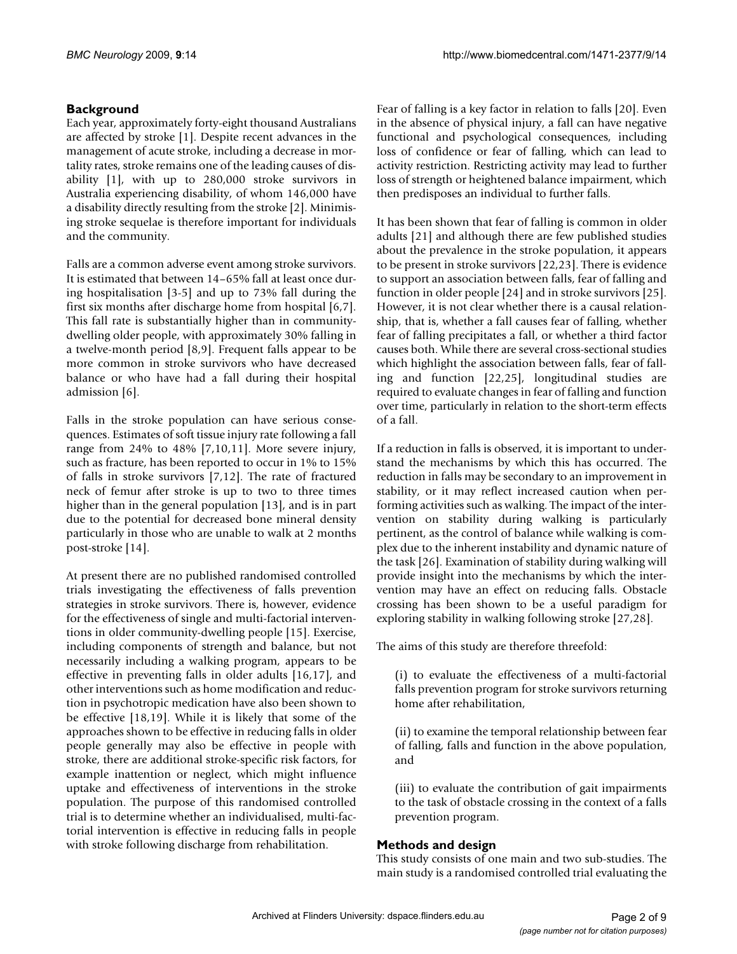### **Background**

Each year, approximately forty-eight thousand Australians are affected by stroke [1]. Despite recent advances in the management of acute stroke, including a decrease in mortality rates, stroke remains one of the leading causes of disability [1], with up to 280,000 stroke survivors in Australia experiencing disability, of whom 146,000 have a disability directly resulting from the stroke [2]. Minimising stroke sequelae is therefore important for individuals and the community.

Falls are a common adverse event among stroke survivors. It is estimated that between 14–65% fall at least once during hospitalisation [3-5] and up to 73% fall during the first six months after discharge home from hospital [6,7]. This fall rate is substantially higher than in communitydwelling older people, with approximately 30% falling in a twelve-month period [8,9]. Frequent falls appear to be more common in stroke survivors who have decreased balance or who have had a fall during their hospital admission [6].

Falls in the stroke population can have serious consequences. Estimates of soft tissue injury rate following a fall range from 24% to 48% [7,10,11]. More severe injury, such as fracture, has been reported to occur in 1% to 15% of falls in stroke survivors [7,12]. The rate of fractured neck of femur after stroke is up to two to three times higher than in the general population [13], and is in part due to the potential for decreased bone mineral density particularly in those who are unable to walk at 2 months post-stroke [14].

At present there are no published randomised controlled trials investigating the effectiveness of falls prevention strategies in stroke survivors. There is, however, evidence for the effectiveness of single and multi-factorial interventions in older community-dwelling people [15]. Exercise, including components of strength and balance, but not necessarily including a walking program, appears to be effective in preventing falls in older adults [16,17], and other interventions such as home modification and reduction in psychotropic medication have also been shown to be effective [18,19]. While it is likely that some of the approaches shown to be effective in reducing falls in older people generally may also be effective in people with stroke, there are additional stroke-specific risk factors, for example inattention or neglect, which might influence uptake and effectiveness of interventions in the stroke population. The purpose of this randomised controlled trial is to determine whether an individualised, multi-factorial intervention is effective in reducing falls in people with stroke following discharge from rehabilitation.

Fear of falling is a key factor in relation to falls [20]. Even in the absence of physical injury, a fall can have negative functional and psychological consequences, including loss of confidence or fear of falling, which can lead to activity restriction. Restricting activity may lead to further loss of strength or heightened balance impairment, which then predisposes an individual to further falls.

It has been shown that fear of falling is common in older adults [21] and although there are few published studies about the prevalence in the stroke population, it appears to be present in stroke survivors [22,23]. There is evidence to support an association between falls, fear of falling and function in older people [24] and in stroke survivors [25]. However, it is not clear whether there is a causal relationship, that is, whether a fall causes fear of falling, whether fear of falling precipitates a fall, or whether a third factor causes both. While there are several cross-sectional studies which highlight the association between falls, fear of falling and function [22,25], longitudinal studies are required to evaluate changes in fear of falling and function over time, particularly in relation to the short-term effects of a fall.

If a reduction in falls is observed, it is important to understand the mechanisms by which this has occurred. The reduction in falls may be secondary to an improvement in stability, or it may reflect increased caution when performing activities such as walking. The impact of the intervention on stability during walking is particularly pertinent, as the control of balance while walking is complex due to the inherent instability and dynamic nature of the task [26]. Examination of stability during walking will provide insight into the mechanisms by which the intervention may have an effect on reducing falls. Obstacle crossing has been shown to be a useful paradigm for exploring stability in walking following stroke [27,28].

The aims of this study are therefore threefold:

(i) to evaluate the effectiveness of a multi-factorial falls prevention program for stroke survivors returning home after rehabilitation,

(ii) to examine the temporal relationship between fear of falling, falls and function in the above population, and

(iii) to evaluate the contribution of gait impairments to the task of obstacle crossing in the context of a falls prevention program.

### **Methods and design**

This study consists of one main and two sub-studies. The main study is a randomised controlled trial evaluating the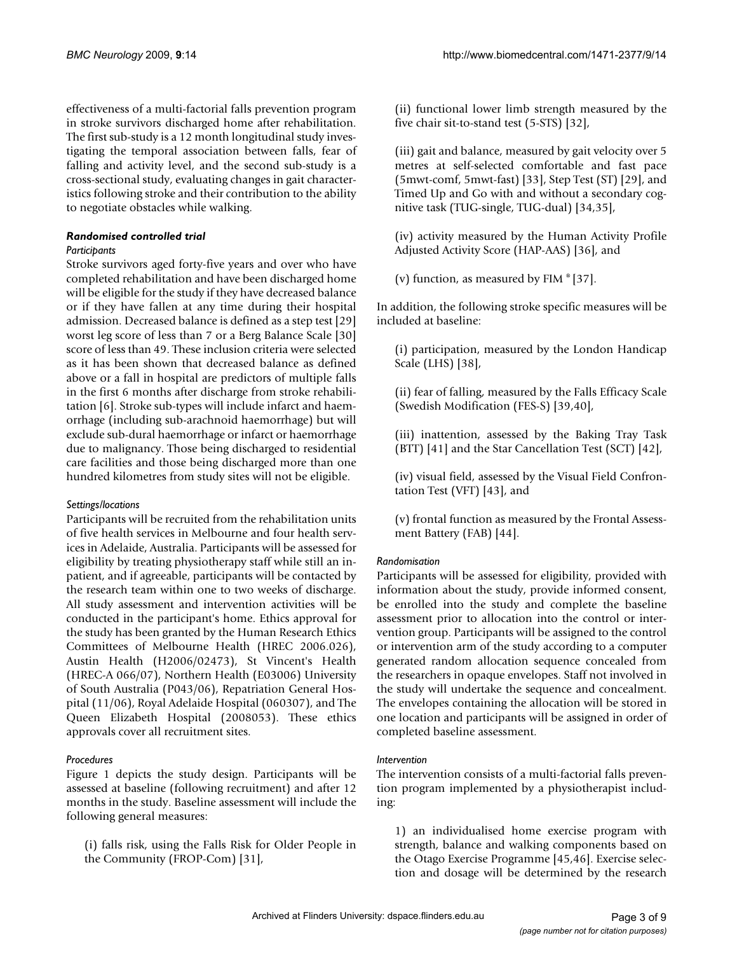effectiveness of a multi-factorial falls prevention program in stroke survivors discharged home after rehabilitation. The first sub-study is a 12 month longitudinal study investigating the temporal association between falls, fear of falling and activity level, and the second sub-study is a cross-sectional study, evaluating changes in gait characteristics following stroke and their contribution to the ability to negotiate obstacles while walking.

#### *Randomised controlled trial*

#### *Participants*

Stroke survivors aged forty-five years and over who have completed rehabilitation and have been discharged home will be eligible for the study if they have decreased balance or if they have fallen at any time during their hospital admission. Decreased balance is defined as a step test [29] worst leg score of less than 7 or a Berg Balance Scale [30] score of less than 49. These inclusion criteria were selected as it has been shown that decreased balance as defined above or a fall in hospital are predictors of multiple falls in the first 6 months after discharge from stroke rehabilitation [6]. Stroke sub-types will include infarct and haemorrhage (including sub-arachnoid haemorrhage) but will exclude sub-dural haemorrhage or infarct or haemorrhage due to malignancy. Those being discharged to residential care facilities and those being discharged more than one hundred kilometres from study sites will not be eligible.

#### *Settings/locations*

Participants will be recruited from the rehabilitation units of five health services in Melbourne and four health services in Adelaide, Australia. Participants will be assessed for eligibility by treating physiotherapy staff while still an inpatient, and if agreeable, participants will be contacted by the research team within one to two weeks of discharge. All study assessment and intervention activities will be conducted in the participant's home. Ethics approval for the study has been granted by the Human Research Ethics Committees of Melbourne Health (HREC 2006.026), Austin Health (H2006/02473), St Vincent's Health (HREC-A 066/07), Northern Health (E03006) University of South Australia (P043/06), Repatriation General Hospital (11/06), Royal Adelaide Hospital (060307), and The Queen Elizabeth Hospital (2008053). These ethics approvals cover all recruitment sites.

#### *Procedures*

Figure 1 depicts the study design. Participants will be assessed at baseline (following recruitment) and after 12 months in the study. Baseline assessment will include the following general measures:

(i) falls risk, using the Falls Risk for Older People in the Community (FROP-Com) [31],

(ii) functional lower limb strength measured by the five chair sit-to-stand test (5-STS) [32],

(iii) gait and balance, measured by gait velocity over 5 metres at self-selected comfortable and fast pace (5mwt-comf, 5mwt-fast) [33], Step Test (ST) [29], and Timed Up and Go with and without a secondary cognitive task (TUG-single, TUG-dual) [34,35],

(iv) activity measured by the Human Activity Profile Adjusted Activity Score (HAP-AAS) [36], and

(v) function, as measured by FIM  $\degree$  [37].

In addition, the following stroke specific measures will be included at baseline:

(i) participation, measured by the London Handicap Scale (LHS) [38],

(ii) fear of falling, measured by the Falls Efficacy Scale (Swedish Modification (FES-S) [39,40],

(iii) inattention, assessed by the Baking Tray Task (BTT) [41] and the Star Cancellation Test (SCT) [42],

(iv) visual field, assessed by the Visual Field Confrontation Test (VFT) [43], and

(v) frontal function as measured by the Frontal Assessment Battery (FAB) [44].

#### *Randomisation*

Participants will be assessed for eligibility, provided with information about the study, provide informed consent, be enrolled into the study and complete the baseline assessment prior to allocation into the control or intervention group. Participants will be assigned to the control or intervention arm of the study according to a computer generated random allocation sequence concealed from the researchers in opaque envelopes. Staff not involved in the study will undertake the sequence and concealment. The envelopes containing the allocation will be stored in one location and participants will be assigned in order of completed baseline assessment.

#### *Intervention*

The intervention consists of a multi-factorial falls prevention program implemented by a physiotherapist including:

1) an individualised home exercise program with strength, balance and walking components based on the Otago Exercise Programme [45,46]. Exercise selection and dosage will be determined by the research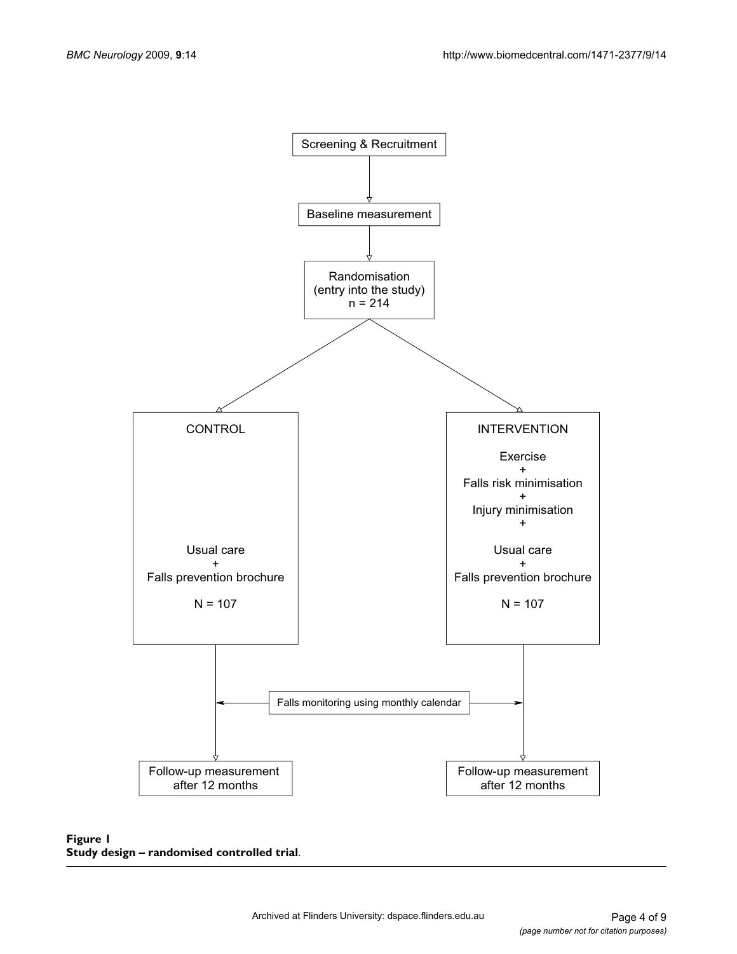

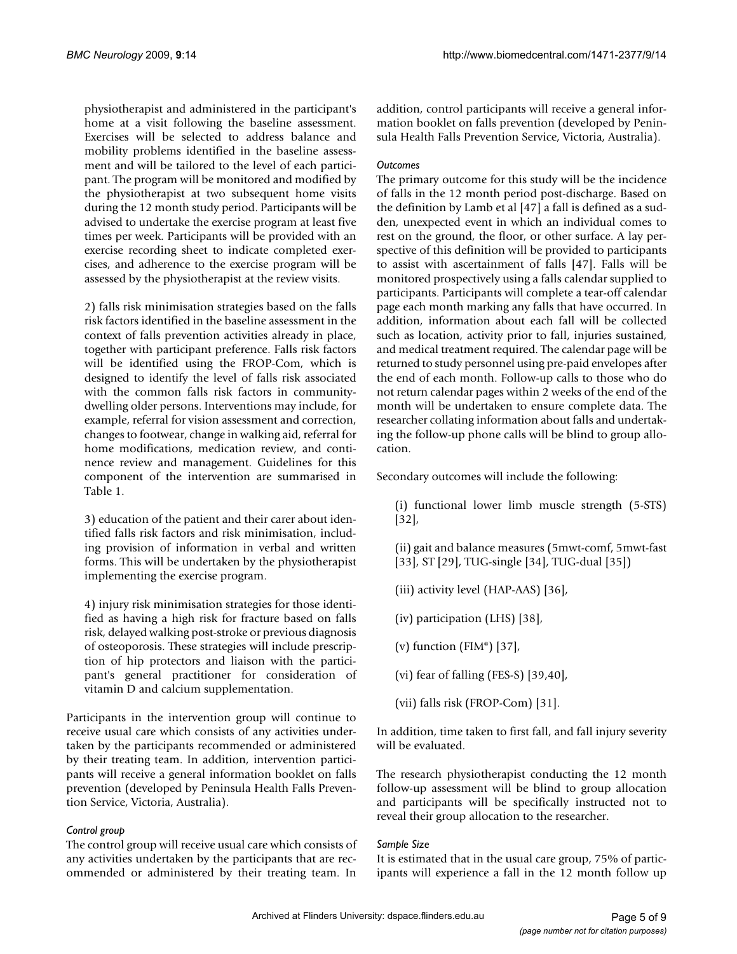physiotherapist and administered in the participant's home at a visit following the baseline assessment. Exercises will be selected to address balance and mobility problems identified in the baseline assessment and will be tailored to the level of each participant. The program will be monitored and modified by the physiotherapist at two subsequent home visits during the 12 month study period. Participants will be advised to undertake the exercise program at least five times per week. Participants will be provided with an exercise recording sheet to indicate completed exercises, and adherence to the exercise program will be assessed by the physiotherapist at the review visits.

2) falls risk minimisation strategies based on the falls risk factors identified in the baseline assessment in the context of falls prevention activities already in place, together with participant preference. Falls risk factors will be identified using the FROP-Com, which is designed to identify the level of falls risk associated with the common falls risk factors in communitydwelling older persons. Interventions may include, for example, referral for vision assessment and correction, changes to footwear, change in walking aid, referral for home modifications, medication review, and continence review and management. Guidelines for this component of the intervention are summarised in Table 1.

3) education of the patient and their carer about identified falls risk factors and risk minimisation, including provision of information in verbal and written forms. This will be undertaken by the physiotherapist implementing the exercise program.

4) injury risk minimisation strategies for those identified as having a high risk for fracture based on falls risk, delayed walking post-stroke or previous diagnosis of osteoporosis. These strategies will include prescription of hip protectors and liaison with the participant's general practitioner for consideration of vitamin D and calcium supplementation.

Participants in the intervention group will continue to receive usual care which consists of any activities undertaken by the participants recommended or administered by their treating team. In addition, intervention participants will receive a general information booklet on falls prevention (developed by Peninsula Health Falls Prevention Service, Victoria, Australia).

#### *Control group*

The control group will receive usual care which consists of any activities undertaken by the participants that are recommended or administered by their treating team. In addition, control participants will receive a general information booklet on falls prevention (developed by Peninsula Health Falls Prevention Service, Victoria, Australia).

#### *Outcomes*

The primary outcome for this study will be the incidence of falls in the 12 month period post-discharge. Based on the definition by Lamb et al [47] a fall is defined as a sudden, unexpected event in which an individual comes to rest on the ground, the floor, or other surface. A lay perspective of this definition will be provided to participants to assist with ascertainment of falls [47]. Falls will be monitored prospectively using a falls calendar supplied to participants. Participants will complete a tear-off calendar page each month marking any falls that have occurred. In addition, information about each fall will be collected such as location, activity prior to fall, injuries sustained, and medical treatment required. The calendar page will be returned to study personnel using pre-paid envelopes after the end of each month. Follow-up calls to those who do not return calendar pages within 2 weeks of the end of the month will be undertaken to ensure complete data. The researcher collating information about falls and undertaking the follow-up phone calls will be blind to group allocation.

Secondary outcomes will include the following:

(i) functional lower limb muscle strength (5-STS) [32],

(ii) gait and balance measures (5mwt-comf, 5mwt-fast [33], ST [29], TUG-single [34], TUG-dual [35])

- (iii) activity level (HAP-AAS) [36],
- (iv) participation (LHS) [38],
- (v) function ( $FIM^{\circ}$ ) [37],
- (vi) fear of falling (FES-S) [39,40],
- (vii) falls risk (FROP-Com) [31].

In addition, time taken to first fall, and fall injury severity will be evaluated.

The research physiotherapist conducting the 12 month follow-up assessment will be blind to group allocation and participants will be specifically instructed not to reveal their group allocation to the researcher.

#### *Sample Size*

It is estimated that in the usual care group, 75% of participants will experience a fall in the 12 month follow up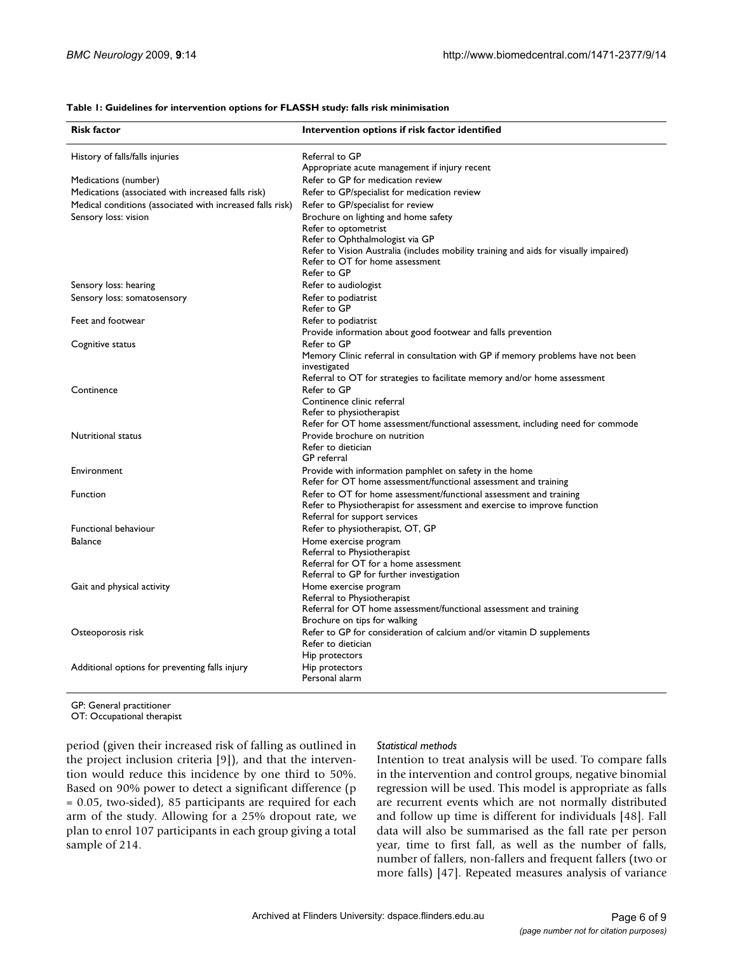#### **Table 1: Guidelines for intervention options for FLASSH study: falls risk minimisation**

| <b>Risk factor</b>                                        | Intervention options if risk factor identified                                                                                                                                                                                             |
|-----------------------------------------------------------|--------------------------------------------------------------------------------------------------------------------------------------------------------------------------------------------------------------------------------------------|
| History of falls/falls injuries                           | Referral to GP<br>Appropriate acute management if injury recent                                                                                                                                                                            |
| Medications (number)                                      | Refer to GP for medication review                                                                                                                                                                                                          |
| Medications (associated with increased falls risk)        | Refer to GP/specialist for medication review                                                                                                                                                                                               |
| Medical conditions (associated with increased falls risk) | Refer to GP/specialist for review                                                                                                                                                                                                          |
| Sensory loss: vision                                      | Brochure on lighting and home safety<br>Refer to optometrist<br>Refer to Ophthalmologist via GP<br>Refer to Vision Australia (includes mobility training and aids for visually impaired)<br>Refer to OT for home assessment<br>Refer to GP |
| Sensory loss: hearing                                     | Refer to audiologist                                                                                                                                                                                                                       |
| Sensory loss: somatosensory                               | Refer to podiatrist<br>Refer to GP                                                                                                                                                                                                         |
| Feet and footwear                                         | Refer to podiatrist<br>Provide information about good footwear and falls prevention                                                                                                                                                        |
| Cognitive status                                          | Refer to GP<br>Memory Clinic referral in consultation with GP if memory problems have not been<br>investigated<br>Referral to OT for strategies to facilitate memory and/or home assessment                                                |
| Continence                                                | Refer to GP<br>Continence clinic referral<br>Refer to physiotherapist<br>Refer for OT home assessment/functional assessment, including need for commode                                                                                    |
| <b>Nutritional status</b>                                 | Provide brochure on nutrition<br>Refer to dietician<br><b>GP</b> referral                                                                                                                                                                  |
| Environment                                               | Provide with information pamphlet on safety in the home<br>Refer for OT home assessment/functional assessment and training                                                                                                                 |
| Function                                                  | Refer to OT for home assessment/functional assessment and training<br>Refer to Physiotherapist for assessment and exercise to improve function<br>Referral for support services                                                            |
| Functional behaviour                                      | Refer to physiotherapist, OT, GP                                                                                                                                                                                                           |
| <b>Balance</b>                                            | Home exercise program<br>Referral to Physiotherapist<br>Referral for OT for a home assessment<br>Referral to GP for further investigation                                                                                                  |
| Gait and physical activity                                | Home exercise program<br>Referral to Physiotherapist<br>Referral for OT home assessment/functional assessment and training<br>Brochure on tips for walking                                                                                 |
| Osteoporosis risk                                         | Refer to GP for consideration of calcium and/or vitamin D supplements<br>Refer to dietician<br>Hip protectors                                                                                                                              |
| Additional options for preventing falls injury            | Hip protectors<br>Personal alarm                                                                                                                                                                                                           |

GP: General practitioner

OT: Occupational therapist

period (given their increased risk of falling as outlined in the project inclusion criteria [9]), and that the intervention would reduce this incidence by one third to 50%. Based on 90% power to detect a significant difference (p = 0.05, two-sided), 85 participants are required for each arm of the study. Allowing for a 25% dropout rate, we plan to enrol 107 participants in each group giving a total sample of 214.

#### *Statistical methods*

Intention to treat analysis will be used. To compare falls in the intervention and control groups, negative binomial regression will be used. This model is appropriate as falls are recurrent events which are not normally distributed and follow up time is different for individuals [48]. Fall data will also be summarised as the fall rate per person year, time to first fall, as well as the number of falls, number of fallers, non-fallers and frequent fallers (two or more falls) [47]. Repeated measures analysis of variance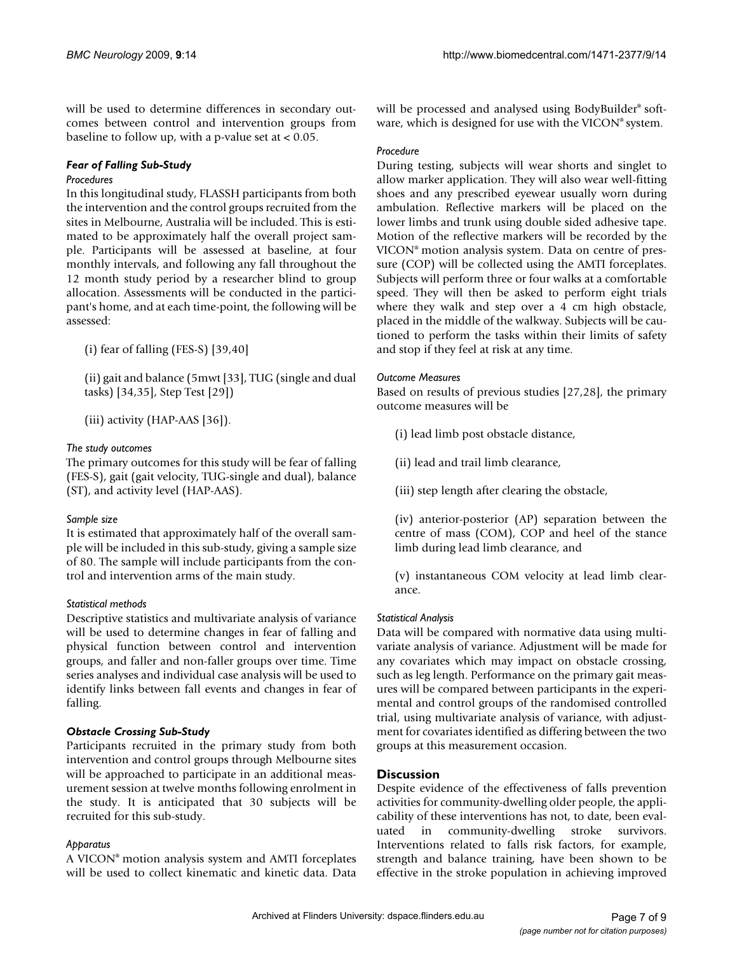will be used to determine differences in secondary outcomes between control and intervention groups from baseline to follow up, with a p-value set at < 0.05.

#### *Fear of Falling Sub-Study*

#### *Procedures*

In this longitudinal study, FLASSH participants from both the intervention and the control groups recruited from the sites in Melbourne, Australia will be included. This is estimated to be approximately half the overall project sample. Participants will be assessed at baseline, at four monthly intervals, and following any fall throughout the 12 month study period by a researcher blind to group allocation. Assessments will be conducted in the participant's home, and at each time-point, the following will be assessed:

(i) fear of falling (FES-S) [39,40]

(ii) gait and balance (5mwt [33], TUG (single and dual tasks) [34,35], Step Test [29])

(iii) activity (HAP-AAS [36]).

#### *The study outcomes*

The primary outcomes for this study will be fear of falling (FES-S), gait (gait velocity, TUG-single and dual), balance (ST), and activity level (HAP-AAS).

#### *Sample size*

It is estimated that approximately half of the overall sample will be included in this sub-study, giving a sample size of 80. The sample will include participants from the control and intervention arms of the main study.

#### *Statistical methods*

Descriptive statistics and multivariate analysis of variance will be used to determine changes in fear of falling and physical function between control and intervention groups, and faller and non-faller groups over time. Time series analyses and individual case analysis will be used to identify links between fall events and changes in fear of falling.

#### *Obstacle Crossing Sub-Study*

Participants recruited in the primary study from both intervention and control groups through Melbourne sites will be approached to participate in an additional measurement session at twelve months following enrolment in the study. It is anticipated that 30 subjects will be recruited for this sub-study.

#### *Apparatus*

A VICON® motion analysis system and AMTI forceplates will be used to collect kinematic and kinetic data. Data will be processed and analysed using BodyBuilder® software, which is designed for use with the VICON® system.

#### *Procedure*

During testing, subjects will wear shorts and singlet to allow marker application. They will also wear well-fitting shoes and any prescribed eyewear usually worn during ambulation. Reflective markers will be placed on the lower limbs and trunk using double sided adhesive tape. Motion of the reflective markers will be recorded by the VICON® motion analysis system. Data on centre of pressure (COP) will be collected using the AMTI forceplates. Subjects will perform three or four walks at a comfortable speed. They will then be asked to perform eight trials where they walk and step over a 4 cm high obstacle, placed in the middle of the walkway. Subjects will be cautioned to perform the tasks within their limits of safety and stop if they feel at risk at any time.

#### *Outcome Measures*

Based on results of previous studies [27,28], the primary outcome measures will be

(i) lead limb post obstacle distance,

(ii) lead and trail limb clearance,

(iii) step length after clearing the obstacle,

(iv) anterior-posterior (AP) separation between the centre of mass (COM), COP and heel of the stance limb during lead limb clearance, and

(v) instantaneous COM velocity at lead limb clearance.

#### *Statistical Analysis*

Data will be compared with normative data using multivariate analysis of variance. Adjustment will be made for any covariates which may impact on obstacle crossing, such as leg length. Performance on the primary gait measures will be compared between participants in the experimental and control groups of the randomised controlled trial, using multivariate analysis of variance, with adjustment for covariates identified as differing between the two groups at this measurement occasion.

#### **Discussion**

Despite evidence of the effectiveness of falls prevention activities for community-dwelling older people, the applicability of these interventions has not, to date, been evaluated in community-dwelling stroke survivors. Interventions related to falls risk factors, for example, strength and balance training, have been shown to be effective in the stroke population in achieving improved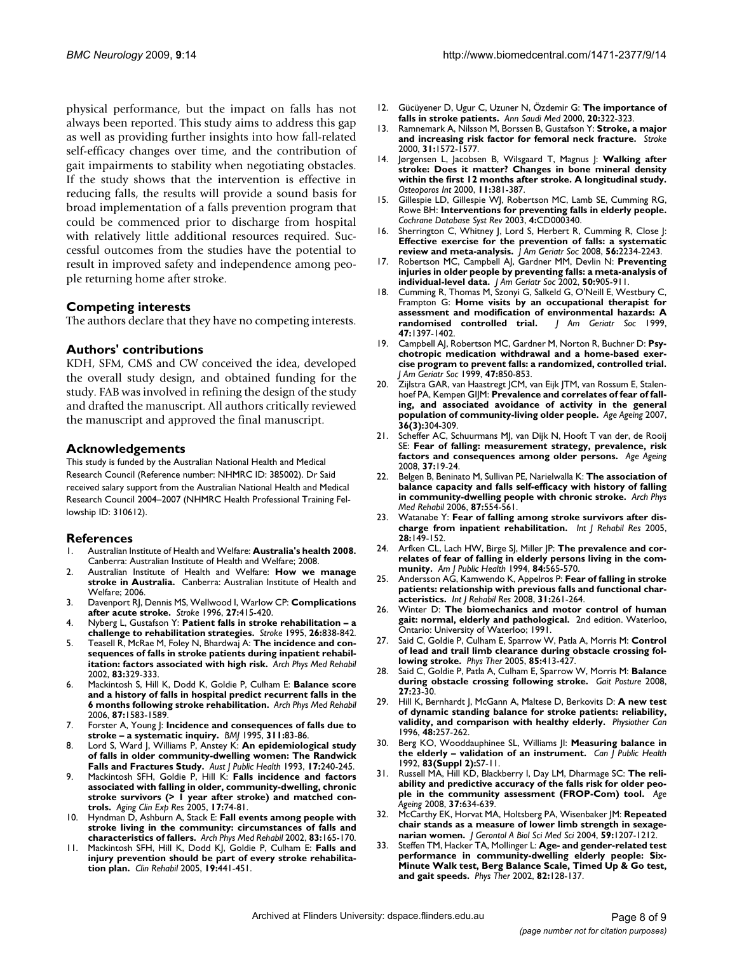physical performance, but the impact on falls has not always been reported. This study aims to address this gap as well as providing further insights into how fall-related self-efficacy changes over time, and the contribution of gait impairments to stability when negotiating obstacles. If the study shows that the intervention is effective in reducing falls, the results will provide a sound basis for broad implementation of a falls prevention program that could be commenced prior to discharge from hospital with relatively little additional resources required. Successful outcomes from the studies have the potential to result in improved safety and independence among people returning home after stroke.

#### **Competing interests**

The authors declare that they have no competing interests.

#### **Authors' contributions**

KDH, SFM, CMS and CW conceived the idea, developed the overall study design, and obtained funding for the study. FAB was involved in refining the design of the study and drafted the manuscript. All authors critically reviewed the manuscript and approved the final manuscript.

#### **Acknowledgements**

This study is funded by the Australian National Health and Medical Research Council (Reference number: NHMRC ID: 385002). Dr Said received salary support from the Australian National Health and Medical Research Council 2004–2007 (NHMRC Health Professional Training Fellowship ID: 310612).

#### **References**

- 1. Australian Institute of Health and Welfare: **Australia's health 2008.** Canberra: Australian Institute of Health and Welfare; 2008.
- 2. Australian Institute of Health and Welfare: **How we manage stroke in Australia.** Canberra: Australian Institute of Health and Welfare; 2006.
- 3. Davenport RJ, Dennis MS, Wellwood I, Warlow CP: **[Complications](http://www.ncbi.nlm.nih.gov/entrez/query.fcgi?cmd=Retrieve&db=PubMed&dopt=Abstract&list_uids=8610305) [after acute stroke.](http://www.ncbi.nlm.nih.gov/entrez/query.fcgi?cmd=Retrieve&db=PubMed&dopt=Abstract&list_uids=8610305)** *Stroke* 1996, **27:**415-420.
- 4. Nyberg L, Gustafson Y: **[Patient falls in stroke rehabilitation a](http://www.ncbi.nlm.nih.gov/entrez/query.fcgi?cmd=Retrieve&db=PubMed&dopt=Abstract&list_uids=7740577) [challenge to rehabilitation strategies.](http://www.ncbi.nlm.nih.gov/entrez/query.fcgi?cmd=Retrieve&db=PubMed&dopt=Abstract&list_uids=7740577)** *Stroke* 1995, **26:**838-842.
- 5. Teasell R, McRae M, Foley N, Bhardwaj A: **[The incidence and con](http://www.ncbi.nlm.nih.gov/entrez/query.fcgi?cmd=Retrieve&db=PubMed&dopt=Abstract&list_uids=11887112)[sequences of falls in stroke patients during inpatient rehabil](http://www.ncbi.nlm.nih.gov/entrez/query.fcgi?cmd=Retrieve&db=PubMed&dopt=Abstract&list_uids=11887112)[itation: factors associated with high risk.](http://www.ncbi.nlm.nih.gov/entrez/query.fcgi?cmd=Retrieve&db=PubMed&dopt=Abstract&list_uids=11887112)** *Arch Phys Med Rehabil* 2002, **83:**329-333.
- 6. Mackintosh S, Hill K, Dodd K, Goldie P, Culham E: **[Balance score](http://www.ncbi.nlm.nih.gov/entrez/query.fcgi?cmd=Retrieve&db=PubMed&dopt=Abstract&list_uids=17141637) [and a history of falls in hospital predict recurrent falls in the](http://www.ncbi.nlm.nih.gov/entrez/query.fcgi?cmd=Retrieve&db=PubMed&dopt=Abstract&list_uids=17141637) [6 months following stroke rehabilitation.](http://www.ncbi.nlm.nih.gov/entrez/query.fcgi?cmd=Retrieve&db=PubMed&dopt=Abstract&list_uids=17141637)** *Arch Phys Med Rehabil* 2006, **87:**1583-1589.
- 7. Forster A, Young J: **[Incidence and consequences of falls due to](http://www.ncbi.nlm.nih.gov/entrez/query.fcgi?cmd=Retrieve&db=PubMed&dopt=Abstract&list_uids=7613406) [stroke – a systematic inquiry.](http://www.ncbi.nlm.nih.gov/entrez/query.fcgi?cmd=Retrieve&db=PubMed&dopt=Abstract&list_uids=7613406)** *BMJ* 1995, **311:**83-86.
- 8. Lord S, Ward J, Williams P, Anstey K: **[An epidemiological study](http://www.ncbi.nlm.nih.gov/entrez/query.fcgi?cmd=Retrieve&db=PubMed&dopt=Abstract&list_uids=8286498) [of falls in older community-dwelling women: The Randwick](http://www.ncbi.nlm.nih.gov/entrez/query.fcgi?cmd=Retrieve&db=PubMed&dopt=Abstract&list_uids=8286498) [Falls and Fractures Study.](http://www.ncbi.nlm.nih.gov/entrez/query.fcgi?cmd=Retrieve&db=PubMed&dopt=Abstract&list_uids=8286498)** *Aust J Public Health* 1993, **17:**240-245.
- 9. Mackintosh SFH, Goldie P, Hill K: **[Falls incidence and factors](http://www.ncbi.nlm.nih.gov/entrez/query.fcgi?cmd=Retrieve&db=PubMed&dopt=Abstract&list_uids=15977453) [associated with falling in older, community-dwelling, chronic](http://www.ncbi.nlm.nih.gov/entrez/query.fcgi?cmd=Retrieve&db=PubMed&dopt=Abstract&list_uids=15977453) stroke survivors (> 1 year after stroke) and matched con[trols.](http://www.ncbi.nlm.nih.gov/entrez/query.fcgi?cmd=Retrieve&db=PubMed&dopt=Abstract&list_uids=15977453)** *Aging Clin Exp Res* 2005, **17:**74-81.
- 10. Hyndman D, Ashburn A, Stack E: **[Fall events among people with](http://www.ncbi.nlm.nih.gov/entrez/query.fcgi?cmd=Retrieve&db=PubMed&dopt=Abstract&list_uids=11833018) [stroke living in the community: circumstances of falls and](http://www.ncbi.nlm.nih.gov/entrez/query.fcgi?cmd=Retrieve&db=PubMed&dopt=Abstract&list_uids=11833018) [characteristics of fallers.](http://www.ncbi.nlm.nih.gov/entrez/query.fcgi?cmd=Retrieve&db=PubMed&dopt=Abstract&list_uids=11833018)** *Arch Phys Med Rehabil* 2002, **83:**165-170.
- 11. Mackintosh SFH, Hill K, Dodd KJ, Goldie P, Culham E: **[Falls and](http://www.ncbi.nlm.nih.gov/entrez/query.fcgi?cmd=Retrieve&db=PubMed&dopt=Abstract&list_uids=15929514) [injury prevention should be part of every stroke rehabilita](http://www.ncbi.nlm.nih.gov/entrez/query.fcgi?cmd=Retrieve&db=PubMed&dopt=Abstract&list_uids=15929514)[tion plan.](http://www.ncbi.nlm.nih.gov/entrez/query.fcgi?cmd=Retrieve&db=PubMed&dopt=Abstract&list_uids=15929514)** *Clin Rehabil* 2005, **19:**441-451.
- 12. Gücüyener D, Ugur C, Uzuner N, Özdemir G: **[The importance of](http://www.ncbi.nlm.nih.gov/entrez/query.fcgi?cmd=Retrieve&db=PubMed&dopt=Abstract&list_uids=17322693) [falls in stroke patients.](http://www.ncbi.nlm.nih.gov/entrez/query.fcgi?cmd=Retrieve&db=PubMed&dopt=Abstract&list_uids=17322693)** *Ann Saudi Med* 2000, **20:**322-323.
- 13. Ramnemark A, Nilsson M, Borssen B, Gustafson Y: **[Stroke, a major](http://www.ncbi.nlm.nih.gov/entrez/query.fcgi?cmd=Retrieve&db=PubMed&dopt=Abstract&list_uids=10884456) [and increasing risk factor for femoral neck fracture.](http://www.ncbi.nlm.nih.gov/entrez/query.fcgi?cmd=Retrieve&db=PubMed&dopt=Abstract&list_uids=10884456)** *Stroke* 2000, **31:**1572-1577.
- 14. Jørgensen L, Jacobsen B, Wilsgaard T, Magnus J: **[Walking after](http://www.ncbi.nlm.nih.gov/entrez/query.fcgi?cmd=Retrieve&db=PubMed&dopt=Abstract&list_uids=10912838) [stroke: Does it matter? Changes in bone mineral density](http://www.ncbi.nlm.nih.gov/entrez/query.fcgi?cmd=Retrieve&db=PubMed&dopt=Abstract&list_uids=10912838) within the first 12 months after stroke. A longitudinal study.** *Osteoporos Int* 2000, **11:**381-387.
- 15. Gillespie LD, Gillespie WJ, Robertson MC, Lamb SE, Cumming RG, Rowe BH: **[Interventions for preventing falls in elderly people.](http://www.ncbi.nlm.nih.gov/entrez/query.fcgi?cmd=Retrieve&db=PubMed&dopt=Abstract&list_uids=14583918)** *Cochrane Database Syst Rev* 2003, **4:**CD000340.
- 16. Sherrington C, Whitney J, Lord S, Herbert R, Cumming R, Close J: **[Effective exercise for the prevention of falls: a systematic](http://www.ncbi.nlm.nih.gov/entrez/query.fcgi?cmd=Retrieve&db=PubMed&dopt=Abstract&list_uids=19093923) [review and meta-analysis.](http://www.ncbi.nlm.nih.gov/entrez/query.fcgi?cmd=Retrieve&db=PubMed&dopt=Abstract&list_uids=19093923)** *J Am Geriatr Soc* 2008, **56:**2234-2243.
- 17. Robertson MC, Campbell AJ, Gardner MM, Devlin N: **[Preventing](http://www.ncbi.nlm.nih.gov/entrez/query.fcgi?cmd=Retrieve&db=PubMed&dopt=Abstract&list_uids=12028179) [injuries in older people by preventing falls: a meta-analysis of](http://www.ncbi.nlm.nih.gov/entrez/query.fcgi?cmd=Retrieve&db=PubMed&dopt=Abstract&list_uids=12028179) [individual-level data.](http://www.ncbi.nlm.nih.gov/entrez/query.fcgi?cmd=Retrieve&db=PubMed&dopt=Abstract&list_uids=12028179)** *J Am Geriatr Soc* 2002, **50:**905-911.
- 18. Cumming R, Thomas M, Szonyi G, Salkeld G, O'Neill E, Westbury C, Frampton G: **[Home visits by an occupational therapist for](http://www.ncbi.nlm.nih.gov/entrez/query.fcgi?cmd=Retrieve&db=PubMed&dopt=Abstract&list_uids=10591231) [assessment and modification of environmental hazards: A](http://www.ncbi.nlm.nih.gov/entrez/query.fcgi?cmd=Retrieve&db=PubMed&dopt=Abstract&list_uids=10591231)** randomised controlled trial.  $\int Am$  Geriatr Soc 1999,  $r$ andomised controlled trial. **47:**1397-1402.
- 19. Campbell AJ, Robertson MC, Gardner M, Norton R, Buchner D: **[Psy](http://www.ncbi.nlm.nih.gov/entrez/query.fcgi?cmd=Retrieve&db=PubMed&dopt=Abstract&list_uids=10404930)[chotropic medication withdrawal and a home-based exer](http://www.ncbi.nlm.nih.gov/entrez/query.fcgi?cmd=Retrieve&db=PubMed&dopt=Abstract&list_uids=10404930)cise program to prevent falls: a randomized, controlled trial.** *J Am Geriatr Soc* 1999, **47:**850-853.
- 20. Zijlstra GAR, van Haastregt JCM, van Eijk JTM, van Rossum E, Stalenhoef PA, Kempen GIJM: **[Prevalence and correlates of fear of fall](http://www.ncbi.nlm.nih.gov/entrez/query.fcgi?cmd=Retrieve&db=PubMed&dopt=Abstract&list_uids=17379605)[ing, and associated avoidance of activity in the general](http://www.ncbi.nlm.nih.gov/entrez/query.fcgi?cmd=Retrieve&db=PubMed&dopt=Abstract&list_uids=17379605) [population of community-living older people.](http://www.ncbi.nlm.nih.gov/entrez/query.fcgi?cmd=Retrieve&db=PubMed&dopt=Abstract&list_uids=17379605)** *Age Ageing* 2007, **36(3):**304-309.
- 21. Scheffer AC, Schuurmans MJ, van Dijk N, Hooft T van der, de Rooij SE: **[Fear of falling: measurement strategy, prevalence, risk](http://www.ncbi.nlm.nih.gov/entrez/query.fcgi?cmd=Retrieve&db=PubMed&dopt=Abstract&list_uids=18194967) [factors and consequences among older persons.](http://www.ncbi.nlm.nih.gov/entrez/query.fcgi?cmd=Retrieve&db=PubMed&dopt=Abstract&list_uids=18194967)** *Age Ageing* 2008, **37:**19-24.
- 22. Belgen B, Beninato M, Sullivan PE, Narielwalla K: **[The association of](http://www.ncbi.nlm.nih.gov/entrez/query.fcgi?cmd=Retrieve&db=PubMed&dopt=Abstract&list_uids=16571397) [balance capacity and falls self-efficacy with history of falling](http://www.ncbi.nlm.nih.gov/entrez/query.fcgi?cmd=Retrieve&db=PubMed&dopt=Abstract&list_uids=16571397) [in community-dwelling people with chronic stroke.](http://www.ncbi.nlm.nih.gov/entrez/query.fcgi?cmd=Retrieve&db=PubMed&dopt=Abstract&list_uids=16571397)** *Arch Phys Med Rehabil* 2006, **87:**554-561.
- 23. Watanabe Y: **[Fear of falling among stroke survivors after dis](http://www.ncbi.nlm.nih.gov/entrez/query.fcgi?cmd=Retrieve&db=PubMed&dopt=Abstract&list_uids=15900185)[charge from inpatient rehabilitation.](http://www.ncbi.nlm.nih.gov/entrez/query.fcgi?cmd=Retrieve&db=PubMed&dopt=Abstract&list_uids=15900185)** *Int J Rehabil Res* 2005, **28:**149-152.
- 24. Arfken CL, Lach HW, Birge SJ, Miller JP: **[The prevalence and cor](http://www.ncbi.nlm.nih.gov/entrez/query.fcgi?cmd=Retrieve&db=PubMed&dopt=Abstract&list_uids=8154557)[relates of fear of falling in elderly persons living in the com](http://www.ncbi.nlm.nih.gov/entrez/query.fcgi?cmd=Retrieve&db=PubMed&dopt=Abstract&list_uids=8154557)[munity.](http://www.ncbi.nlm.nih.gov/entrez/query.fcgi?cmd=Retrieve&db=PubMed&dopt=Abstract&list_uids=8154557)** *Am J Public Health* 1994, **84:**565-570.
- 25. Andersson AG, Kamwendo K, Appelros P: **[Fear of falling in stroke](http://www.ncbi.nlm.nih.gov/entrez/query.fcgi?cmd=Retrieve&db=PubMed&dopt=Abstract&list_uids=18708851) [patients: relationship with previous falls and functional char](http://www.ncbi.nlm.nih.gov/entrez/query.fcgi?cmd=Retrieve&db=PubMed&dopt=Abstract&list_uids=18708851)[acteristics.](http://www.ncbi.nlm.nih.gov/entrez/query.fcgi?cmd=Retrieve&db=PubMed&dopt=Abstract&list_uids=18708851)** *Int J Rehabil Res* 2008, **31:**261-264.
- 26. Winter D: **The biomechanics and motor control of human gait: normal, elderly and pathological.** 2nd edition. Waterloo, Ontario: University of Waterloo; 1991.
- 27. Said C, Goldie P, Culham E, Sparrow W, Patla A, Morris M: **[Control](http://www.ncbi.nlm.nih.gov/entrez/query.fcgi?cmd=Retrieve&db=PubMed&dopt=Abstract&list_uids=15842190) [of lead and trail limb clearance during obstacle crossing fol](http://www.ncbi.nlm.nih.gov/entrez/query.fcgi?cmd=Retrieve&db=PubMed&dopt=Abstract&list_uids=15842190)[lowing stroke.](http://www.ncbi.nlm.nih.gov/entrez/query.fcgi?cmd=Retrieve&db=PubMed&dopt=Abstract&list_uids=15842190)** *Phys Ther* 2005, **85:**413-427.
- 28. Said C, Goldie P, Patla A, Culham E, Sparrow W, Morris M: **[Balance](http://www.ncbi.nlm.nih.gov/entrez/query.fcgi?cmd=Retrieve&db=PubMed&dopt=Abstract&list_uids=17276066) [during obstacle crossing following stroke.](http://www.ncbi.nlm.nih.gov/entrez/query.fcgi?cmd=Retrieve&db=PubMed&dopt=Abstract&list_uids=17276066)** *Gait Posture* 2008, **27:**23-30.
- 29. Hill K, Bernhardt J, McGann A, Maltese D, Berkovits D: **A new test of dynamic standing balance for stroke patients: reliability, validity, and comparison with healthy elderly.** *Physiother Can* 1996, **48:**257-262.
- Berg KO, Wooddauphinee SL, Williams Jl: [Measuring balance in](http://www.ncbi.nlm.nih.gov/entrez/query.fcgi?cmd=Retrieve&db=PubMed&dopt=Abstract&list_uids=1468055) **[the elderly – validation of an instrument.](http://www.ncbi.nlm.nih.gov/entrez/query.fcgi?cmd=Retrieve&db=PubMed&dopt=Abstract&list_uids=1468055)** *Can J Public Health* 1992, **83(Suppl 2):**S7-11.
- 31. Russell MA, Hill KD, Blackberry I, Day LM, Dharmage SC: **[The reli](http://www.ncbi.nlm.nih.gov/entrez/query.fcgi?cmd=Retrieve&db=PubMed&dopt=Abstract&list_uids=18565980)[ability and predictive accuracy of the falls risk for older peo](http://www.ncbi.nlm.nih.gov/entrez/query.fcgi?cmd=Retrieve&db=PubMed&dopt=Abstract&list_uids=18565980)[ple in the community assessment \(FROP-Com\) tool.](http://www.ncbi.nlm.nih.gov/entrez/query.fcgi?cmd=Retrieve&db=PubMed&dopt=Abstract&list_uids=18565980)** *Age Ageing* 2008, **37:**634-639.
- 32. McCarthy EK, Horvat MA, Holtsberg PA, Wisenbaker JM: **[Repeated](http://www.ncbi.nlm.nih.gov/entrez/query.fcgi?cmd=Retrieve&db=PubMed&dopt=Abstract&list_uids=15602077) [chair stands as a measure of lower limb strength in sexage](http://www.ncbi.nlm.nih.gov/entrez/query.fcgi?cmd=Retrieve&db=PubMed&dopt=Abstract&list_uids=15602077)[narian women.](http://www.ncbi.nlm.nih.gov/entrez/query.fcgi?cmd=Retrieve&db=PubMed&dopt=Abstract&list_uids=15602077)** *J Gerontol A Biol Sci Med Sci* 2004, **59:**1207-1212.
- 33. Steffen TM, Hacker TA, Mollinger L: **[Age- and gender-related test](http://www.ncbi.nlm.nih.gov/entrez/query.fcgi?cmd=Retrieve&db=PubMed&dopt=Abstract&list_uids=11856064) [performance in community-dwelling elderly people: Six-](http://www.ncbi.nlm.nih.gov/entrez/query.fcgi?cmd=Retrieve&db=PubMed&dopt=Abstract&list_uids=11856064)Minute Walk test, Berg Balance Scale, Timed Up & Go test, [and gait speeds.](http://www.ncbi.nlm.nih.gov/entrez/query.fcgi?cmd=Retrieve&db=PubMed&dopt=Abstract&list_uids=11856064)** *Phys Ther* 2002, **82:**128-137.